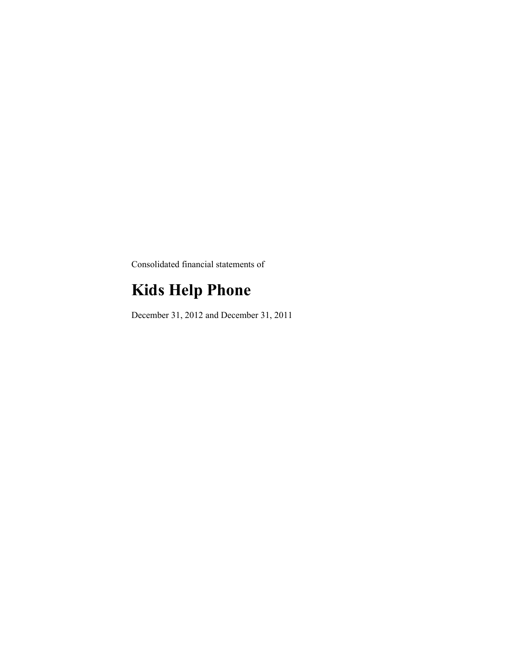Consolidated financial statements of

# **Kids Help Phone**

December 31, 2012 and December 31, 2011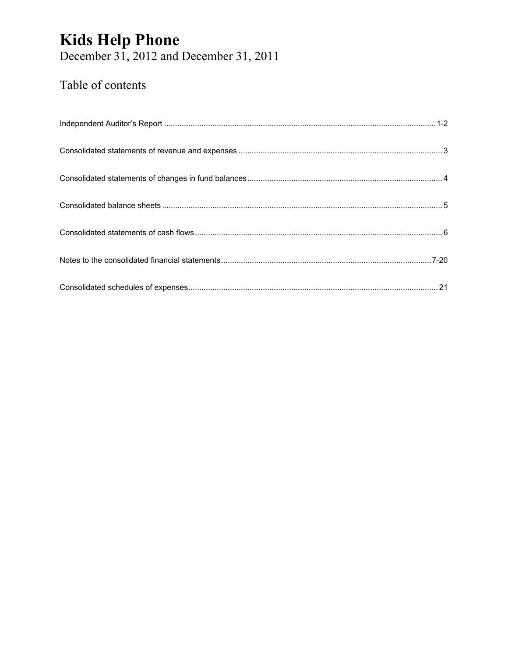Kids Help Phone<br>December 31, 2012 and December 31, 2011

## Table of contents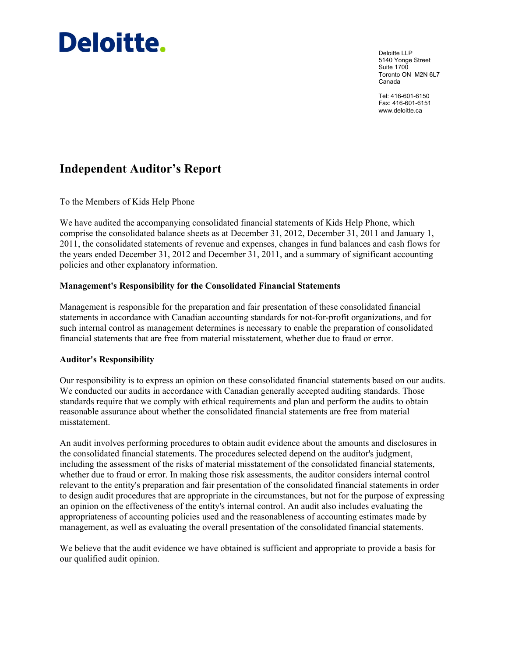# Deloitte.

Deloitte LLP 5140 Yonge Street Suite 1700 Toronto ON M2N 6L7 Canada

Tel: 416-601-6150 Fax: 416-601-6151 www.deloitte.ca

## **Independent Auditor's Report**

To the Members of Kids Help Phone

We have audited the accompanying consolidated financial statements of Kids Help Phone, which comprise the consolidated balance sheets as at December 31, 2012, December 31, 2011 and January 1, 2011, the consolidated statements of revenue and expenses, changes in fund balances and cash flows for the years ended December 31, 2012 and December 31, 2011, and a summary of significant accounting policies and other explanatory information.

## **Management's Responsibility for the Consolidated Financial Statements**

Management is responsible for the preparation and fair presentation of these consolidated financial statements in accordance with Canadian accounting standards for not-for-profit organizations, and for such internal control as management determines is necessary to enable the preparation of consolidated financial statements that are free from material misstatement, whether due to fraud or error.

## **Auditor's Responsibility**

Our responsibility is to express an opinion on these consolidated financial statements based on our audits. We conducted our audits in accordance with Canadian generally accepted auditing standards. Those standards require that we comply with ethical requirements and plan and perform the audits to obtain reasonable assurance about whether the consolidated financial statements are free from material misstatement.

An audit involves performing procedures to obtain audit evidence about the amounts and disclosures in the consolidated financial statements. The procedures selected depend on the auditor's judgment, including the assessment of the risks of material misstatement of the consolidated financial statements, whether due to fraud or error. In making those risk assessments, the auditor considers internal control relevant to the entity's preparation and fair presentation of the consolidated financial statements in order to design audit procedures that are appropriate in the circumstances, but not for the purpose of expressing an opinion on the effectiveness of the entity's internal control. An audit also includes evaluating the appropriateness of accounting policies used and the reasonableness of accounting estimates made by management, as well as evaluating the overall presentation of the consolidated financial statements.

We believe that the audit evidence we have obtained is sufficient and appropriate to provide a basis for our qualified audit opinion.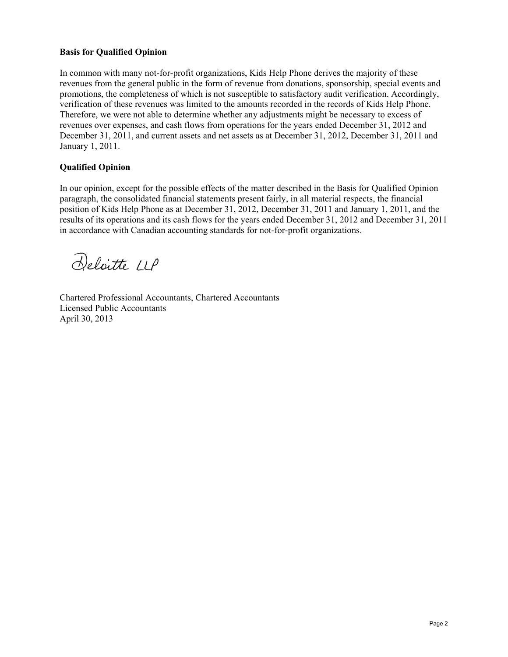## **Basis for Qualified Opinion**

In common with many not-for-profit organizations, Kids Help Phone derives the majority of these revenues from the general public in the form of revenue from donations, sponsorship, special events and promotions, the completeness of which is not susceptible to satisfactory audit verification. Accordingly, verification of these revenues was limited to the amounts recorded in the records of Kids Help Phone. Therefore, we were not able to determine whether any adjustments might be necessary to excess of revenues over expenses, and cash flows from operations for the years ended December 31, 2012 and December 31, 2011, and current assets and net assets as at December 31, 2012, December 31, 2011 and January 1, 2011.

## **Qualified Opinion**

In our opinion, except for the possible effects of the matter described in the Basis for Qualified Opinion paragraph, the consolidated financial statements present fairly, in all material respects, the financial position of Kids Help Phone as at December 31, 2012, December 31, 2011 and January 1, 2011, and the results of its operations and its cash flows for the years ended December 31, 2012 and December 31, 2011 in accordance with Canadian accounting standards for not-for-profit organizations.

Deloitte UP

Chartered Professional Accountants, Chartered Accountants Licensed Public Accountants April 30, 2013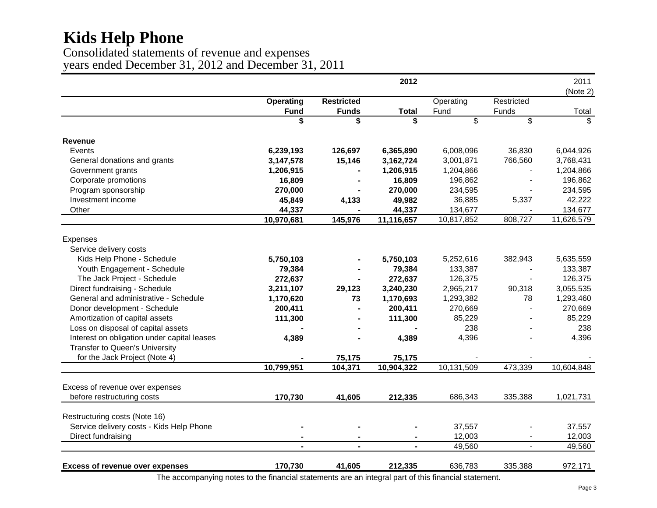Consolidated statements of revenue and expenses years ended December 31, 2012 and December 31, 2011

|                                             |                  |                   | 2012         |            |                         | 2011       |
|---------------------------------------------|------------------|-------------------|--------------|------------|-------------------------|------------|
|                                             |                  |                   |              |            |                         | (Note 2)   |
|                                             | <b>Operating</b> | <b>Restricted</b> |              | Operating  | Restricted              |            |
|                                             | <b>Fund</b>      | <b>Funds</b>      | <b>Total</b> | Fund       | Funds                   | Total      |
|                                             | \$               | \$                | \$           | \$         | $\overline{\mathbb{S}}$ | \$         |
| Revenue                                     |                  |                   |              |            |                         |            |
| Events                                      | 6,239,193        | 126,697           | 6,365,890    | 6,008,096  | 36,830                  | 6,044,926  |
| General donations and grants                | 3,147,578        | 15,146            | 3,162,724    | 3,001,871  | 766,560                 | 3,768,431  |
| Government grants                           | 1,206,915        |                   | 1,206,915    | 1,204,866  |                         | 1,204,866  |
| Corporate promotions                        | 16,809           |                   | 16,809       | 196,862    |                         | 196,862    |
| Program sponsorship                         | 270,000          |                   | 270,000      | 234,595    |                         | 234,595    |
| Investment income                           | 45,849           | 4,133             | 49,982       | 36,885     | 5,337                   | 42,222     |
| Other                                       | 44,337           |                   | 44,337       | 134,677    |                         | 134,677    |
|                                             | 10,970,681       | 145,976           | 11,116,657   | 10,817,852 | 808,727                 | 11,626,579 |
| Expenses                                    |                  |                   |              |            |                         |            |
| Service delivery costs                      |                  |                   |              |            |                         |            |
| Kids Help Phone - Schedule                  | 5,750,103        |                   | 5,750,103    | 5,252,616  | 382,943                 | 5,635,559  |
| Youth Engagement - Schedule                 | 79,384           |                   | 79,384       | 133,387    |                         | 133,387    |
| The Jack Project - Schedule                 | 272,637          |                   | 272,637      | 126,375    |                         | 126,375    |
| Direct fundraising - Schedule               | 3,211,107        | 29,123            | 3,240,230    | 2,965,217  | 90,318                  | 3,055,535  |
| General and administrative - Schedule       | 1,170,620        | 73                | 1,170,693    | 1,293,382  | 78                      | 1,293,460  |
| Donor development - Schedule                | 200,411          |                   | 200,411      | 270,669    |                         | 270,669    |
| Amortization of capital assets              | 111,300          |                   | 111,300      | 85,229     |                         | 85,229     |
| Loss on disposal of capital assets          |                  |                   |              | 238        |                         | 238        |
| Interest on obligation under capital leases | 4,389            |                   | 4,389        | 4,396      |                         | 4,396      |
| <b>Transfer to Queen's University</b>       |                  |                   |              |            |                         |            |
| for the Jack Project (Note 4)               |                  | 75,175            | 75,175       |            |                         |            |
|                                             | 10,799,951       | 104,371           | 10,904,322   | 10,131,509 | 473,339                 | 10,604,848 |
| Excess of revenue over expenses             |                  |                   |              |            |                         |            |
| before restructuring costs                  | 170,730          | 41,605            | 212,335      | 686,343    | 335,388                 | 1,021,731  |
|                                             |                  |                   |              |            |                         |            |
| Restructuring costs (Note 16)               |                  |                   |              |            |                         |            |
| Service delivery costs - Kids Help Phone    |                  |                   |              | 37,557     |                         | 37,557     |
| Direct fundraising                          |                  |                   |              | 12,003     |                         | 12,003     |
|                                             |                  |                   |              | 49,560     |                         | 49,560     |
| <b>Excess of revenue over expenses</b>      | 170,730          | 41,605            | 212,335      | 636,783    | 335,388                 | 972,171    |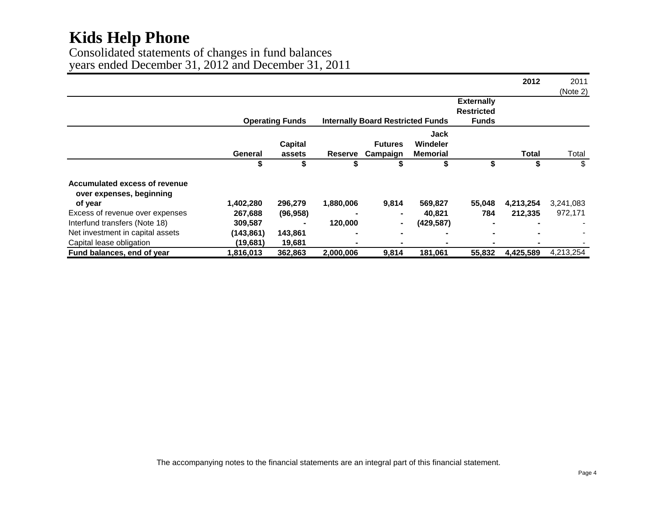Consolidated statements of changes in fund balances years ended December 31, 2012 and December 31, 2011

|                                                           |            |                        |                |                                          |                 |                   | 2012      | 2011      |
|-----------------------------------------------------------|------------|------------------------|----------------|------------------------------------------|-----------------|-------------------|-----------|-----------|
|                                                           |            |                        |                |                                          |                 |                   |           | (Note 2)  |
|                                                           |            |                        |                |                                          |                 | <b>Externally</b> |           |           |
|                                                           |            |                        |                |                                          |                 | <b>Restricted</b> |           |           |
|                                                           |            | <b>Operating Funds</b> |                | <b>Internally Board Restricted Funds</b> |                 | <b>Funds</b>      |           |           |
|                                                           |            |                        |                |                                          | Jack            |                   |           |           |
|                                                           |            | <b>Capital</b>         |                | <b>Futures</b>                           | Windeler        |                   |           |           |
|                                                           | General    | assets                 | <b>Reserve</b> | Campaign                                 | <b>Memorial</b> |                   | Total     | Total     |
|                                                           | \$         | \$                     |                |                                          | S               | \$                | \$        | \$        |
| Accumulated excess of revenue<br>over expenses, beginning |            |                        |                |                                          |                 |                   |           |           |
| of year                                                   | 1,402,280  | 296,279                | 1,880,006      | 9,814                                    | 569,827         | 55,048            | 4,213,254 | 3,241,083 |
| Excess of revenue over expenses                           | 267,688    | (96, 958)              |                |                                          | 40.821          | 784               | 212,335   | 972,171   |
| Interfund transfers (Note 18)                             | 309,587    |                        | 120,000        |                                          | (429, 587)      |                   |           |           |
| Net investment in capital assets                          | (143, 861) | 143,861                |                |                                          |                 |                   |           |           |
| Capital lease obligation                                  | (19, 681)  | 19,681                 |                |                                          |                 |                   |           |           |
| Fund balances, end of year                                | 1,816,013  | 362,863                | 2,000,006      | 9,814                                    | 181,061         | 55,832            | 4,425,589 | 4,213,254 |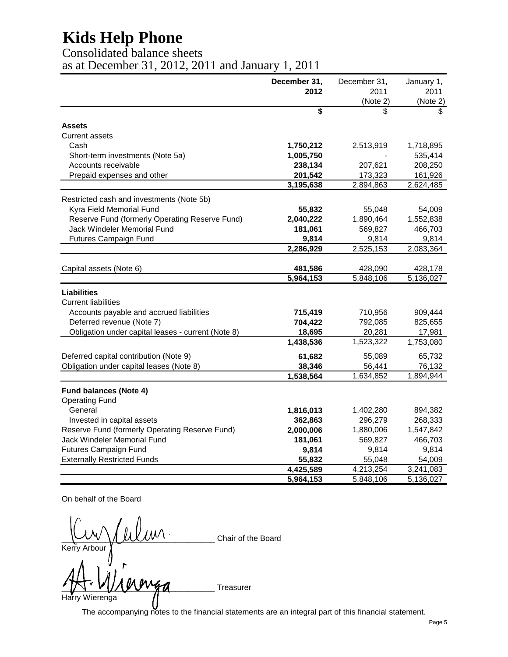Consolidated balance sheets

as at December 31, 2012, 2011 and January 1, 2011

|                                                                       | December 31,         | December 31,         | January 1,             |
|-----------------------------------------------------------------------|----------------------|----------------------|------------------------|
|                                                                       | 2012                 | 2011                 | 2011                   |
|                                                                       |                      | (Note 2)             | (Note 2)               |
|                                                                       | \$                   | \$                   | \$                     |
| <b>Assets</b>                                                         |                      |                      |                        |
| <b>Current assets</b>                                                 |                      |                      |                        |
| Cash                                                                  | 1,750,212            | 2,513,919            | 1,718,895              |
| Short-term investments (Note 5a)                                      | 1,005,750            |                      | 535,414                |
| Accounts receivable                                                   | 238,134              | 207,621              | 208,250                |
| Prepaid expenses and other                                            | 201,542              | 173,323              | 161,926                |
|                                                                       | 3,195,638            | 2,894,863            | 2,624,485              |
|                                                                       |                      |                      |                        |
| Restricted cash and investments (Note 5b)<br>Kyra Field Memorial Fund |                      |                      |                        |
| Reserve Fund (formerly Operating Reserve Fund)                        | 55,832               | 55,048               | 54,009                 |
| Jack Windeler Memorial Fund                                           | 2,040,222<br>181,061 | 1,890,464<br>569,827 | 1,552,838<br>466,703   |
|                                                                       |                      |                      |                        |
| Futures Campaign Fund                                                 | 9,814<br>2,286,929   | 9,814<br>2,525,153   | 9,814<br>2,083,364     |
|                                                                       |                      |                      |                        |
| Capital assets (Note 6)                                               | 481,586              | 428,090              | 428,178                |
|                                                                       | 5,964,153            | 5,848,106            | $\overline{5,136,027}$ |
| <b>Liabilities</b>                                                    |                      |                      |                        |
| <b>Current liabilities</b>                                            |                      |                      |                        |
| Accounts payable and accrued liabilities                              | 715,419              | 710,956              | 909,444                |
| Deferred revenue (Note 7)                                             | 704,422              | 792,085              | 825,655                |
| Obligation under capital leases - current (Note 8)                    | 18,695               | 20,281               | 17,981                 |
|                                                                       | 1,438,536            | 1,523,322            | 1,753,080              |
|                                                                       |                      |                      |                        |
| Deferred capital contribution (Note 9)                                | 61,682               | 55,089               | 65,732                 |
| Obligation under capital leases (Note 8)                              | 38,346               | 56,441               | 76,132                 |
|                                                                       | 1,538,564            | 1,634,852            | 1,894,944              |
| <b>Fund balances (Note 4)</b>                                         |                      |                      |                        |
| <b>Operating Fund</b>                                                 |                      |                      |                        |
| General                                                               | 1,816,013            | 1,402,280            | 894,382                |
| Invested in capital assets                                            | 362,863              | 296,279              | 268,333                |
| Reserve Fund (formerly Operating Reserve Fund)                        | 2,000,006            | 1,880,006            | 1,547,842              |
| Jack Windeler Memorial Fund                                           | 181,061              | 569,827              | 466,703                |
| Futures Campaign Fund                                                 | 9,814                | 9,814                | 9,814                  |
| <b>Externally Restricted Funds</b>                                    | 55,832               | 55,048               | 54,009                 |
|                                                                       | 4,425,589            | 4,213,254            | 3,241,083              |
|                                                                       | 5,964,153            | 5,848,106            | 5,136,027              |

On behalf of the Board

Harry Wierenga

 $\frac{U U}{V}$  Chair of the Board Kerry Arbour we Treasurer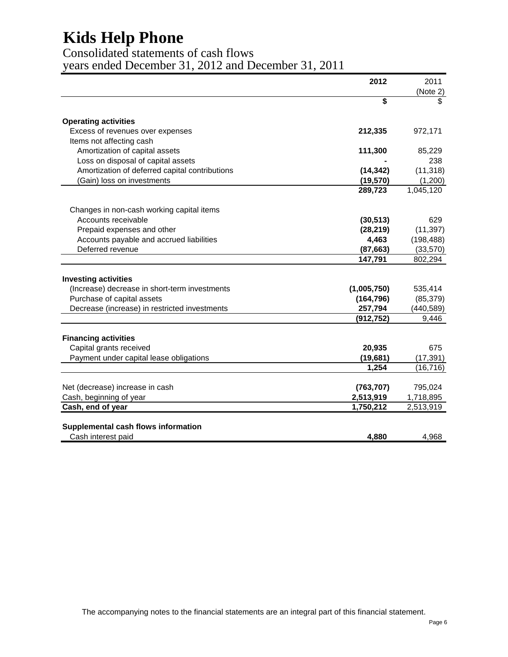Consolidated statements of cash flows years ended December 31, 2012 and December 31, 2011

|                                                                  | 2012        | 2011       |
|------------------------------------------------------------------|-------------|------------|
|                                                                  |             | (Note 2)   |
|                                                                  | \$          | \$         |
|                                                                  |             |            |
| <b>Operating activities</b>                                      |             |            |
| Excess of revenues over expenses                                 | 212,335     | 972,171    |
| Items not affecting cash                                         |             |            |
| Amortization of capital assets                                   | 111,300     | 85,229     |
| Loss on disposal of capital assets                               |             | 238        |
| Amortization of deferred capital contributions                   | (14, 342)   | (11, 318)  |
| (Gain) loss on investments                                       | (19, 570)   | (1,200)    |
|                                                                  | 289,723     | 1,045,120  |
|                                                                  |             |            |
| Changes in non-cash working capital items<br>Accounts receivable | (30, 513)   | 629        |
| Prepaid expenses and other                                       |             | (11, 397)  |
|                                                                  | (28, 219)   |            |
| Accounts payable and accrued liabilities                         | 4,463       | (198, 488) |
| Deferred revenue                                                 | (87, 663)   | (33,570)   |
|                                                                  | 147,791     | 802,294    |
| <b>Investing activities</b>                                      |             |            |
| (Increase) decrease in short-term investments                    | (1,005,750) | 535,414    |
| Purchase of capital assets                                       | (164, 796)  | (85, 379)  |
| Decrease (increase) in restricted investments                    | 257,794     | (440, 589) |
|                                                                  | (912, 752)  | 9,446      |
|                                                                  |             |            |
| <b>Financing activities</b>                                      |             |            |
| Capital grants received                                          | 20,935      | 675        |
| Payment under capital lease obligations                          | (19, 681)   | (17, 391)  |
|                                                                  | 1,254       | (16, 716)  |
|                                                                  |             |            |
| Net (decrease) increase in cash                                  | (763, 707)  | 795,024    |
| Cash, beginning of year                                          | 2,513,919   | 1,718,895  |
| Cash, end of year                                                | 1,750,212   | 2,513,919  |
|                                                                  |             |            |
| Supplemental cash flows information                              |             |            |
| Cash interest paid                                               | 4,880       | 4,968      |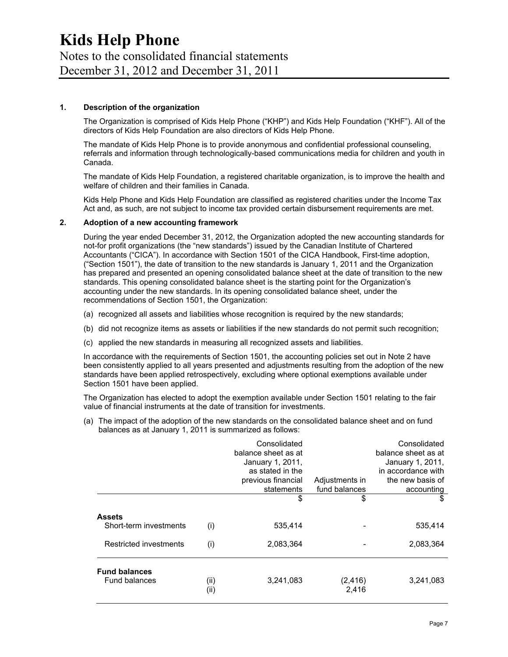## **1. Description of the organization**

The Organization is comprised of Kids Help Phone ("KHP") and Kids Help Foundation ("KHF"). All of the directors of Kids Help Foundation are also directors of Kids Help Phone.

The mandate of Kids Help Phone is to provide anonymous and confidential professional counseling, referrals and information through technologically-based communications media for children and youth in Canada.

The mandate of Kids Help Foundation, a registered charitable organization, is to improve the health and welfare of children and their families in Canada.

Kids Help Phone and Kids Help Foundation are classified as registered charities under the Income Tax Act and, as such, are not subject to income tax provided certain disbursement requirements are met.

### **2. Adoption of a new accounting framework**

During the year ended December 31, 2012, the Organization adopted the new accounting standards for not-for profit organizations (the "new standards") issued by the Canadian Institute of Chartered Accountants ("CICA"). In accordance with Section 1501 of the CICA Handbook, First-time adoption, ("Section 1501"), the date of transition to the new standards is January 1, 2011 and the Organization has prepared and presented an opening consolidated balance sheet at the date of transition to the new standards. This opening consolidated balance sheet is the starting point for the Organization's accounting under the new standards. In its opening consolidated balance sheet, under the recommendations of Section 1501, the Organization:

- (a) recognized all assets and liabilities whose recognition is required by the new standards;
- (b) did not recognize items as assets or liabilities if the new standards do not permit such recognition;
- (c) applied the new standards in measuring all recognized assets and liabilities.

In accordance with the requirements of Section 1501, the accounting policies set out in Note 2 have been consistently applied to all years presented and adjustments resulting from the adoption of the new standards have been applied retrospectively, excluding where optional exemptions available under Section 1501 have been applied.

The Organization has elected to adopt the exemption available under Section 1501 relating to the fair value of financial instruments at the date of transition for investments.

(a) The impact of the adoption of the new standards on the consolidated balance sheet and on fund balances as at January 1, 2011 is summarized as follows:

|                                              |              | Consolidated<br>balance sheet as at<br>January 1, 2011,<br>as stated in the<br>previous financial<br>statements | Adjustments in<br>fund balances | Consolidated<br>balance sheet as at<br>January 1, 2011,<br>in accordance with<br>the new basis of<br>accounting |
|----------------------------------------------|--------------|-----------------------------------------------------------------------------------------------------------------|---------------------------------|-----------------------------------------------------------------------------------------------------------------|
|                                              |              | \$                                                                                                              | \$                              | \$                                                                                                              |
| <b>Assets</b><br>Short-term investments      | (i)          | 535,414                                                                                                         |                                 | 535,414                                                                                                         |
| Restricted investments                       | (i)          | 2,083,364                                                                                                       |                                 | 2,083,364                                                                                                       |
| <b>Fund balances</b><br><b>Fund balances</b> | (ii)<br>(ii) | 3,241,083                                                                                                       | (2, 416)<br>2,416               | 3,241,083                                                                                                       |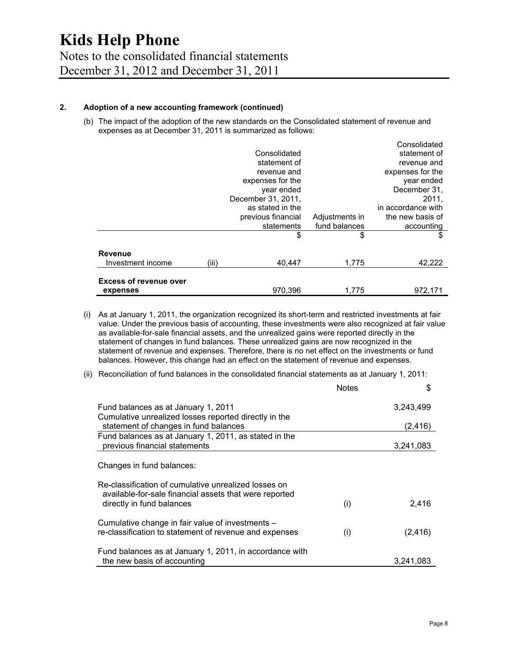## **2. Adoption of a new accounting framework (continued)**

(b) The impact of the adoption of the new standards on the Consolidated statement of revenue and expenses as at December 31, 2011 is summarized as follows:

|                                           |       |                    |                | Consolidated       |
|-------------------------------------------|-------|--------------------|----------------|--------------------|
|                                           |       | Consolidated       |                | statement of       |
|                                           |       | statement of       |                | revenue and        |
|                                           |       | revenue and        |                | expenses for the   |
|                                           |       | expenses for the   |                | year ended         |
|                                           |       | year ended         |                | December 31.       |
|                                           |       | December 31, 2011, |                | 2011.              |
|                                           |       | as stated in the   |                | in accordance with |
|                                           |       | previous financial | Adjustments in | the new basis of   |
|                                           |       | statements         | fund balances  | accounting         |
|                                           |       | \$                 | \$             | \$                 |
| <b>Revenue</b>                            |       |                    |                |                    |
| Investment income                         | (iii) | 40.447             | 1.775          | 42,222             |
|                                           |       |                    |                |                    |
| <b>Excess of revenue over</b><br>expenses |       | 970,396            | 1.775          | 972.171            |

(i) As at January 1, 2011, the organization recognized its short-term and restricted investments at fair value. Under the previous basis of accounting, these investments were also recognized at fair value as available-for-sale financial assets, and the unrealized gains were reported directly in the statement of changes in fund balances. These unrealized gains are now recognized in the statement of revenue and expenses. Therefore, there is no net effect on the investments or fund balances. However, this change had an effect on the statement of revenue and expenses.

<sup>(</sup>ii) Reconciliation of fund balances in the consolidated financial statements as at January 1, 2011:

|                                                                                                                                             | <b>Notes</b> | S         |
|---------------------------------------------------------------------------------------------------------------------------------------------|--------------|-----------|
| Fund balances as at January 1, 2011                                                                                                         |              | 3,243,499 |
| Cumulative unrealized losses reported directly in the<br>statement of changes in fund balances                                              |              | (2, 416)  |
| Fund balances as at January 1, 2011, as stated in the<br>previous financial statements                                                      |              | 3,241,083 |
| Changes in fund balances:                                                                                                                   |              |           |
| Re-classification of cumulative unrealized losses on<br>available-for-sale financial assets that were reported<br>directly in fund balances | (i)          | 2.416     |
| Cumulative change in fair value of investments -<br>re-classification to statement of revenue and expenses                                  | (i)          | (2, 416)  |
| Fund balances as at January 1, 2011, in accordance with<br>the new basis of accounting                                                      |              | 3,241,083 |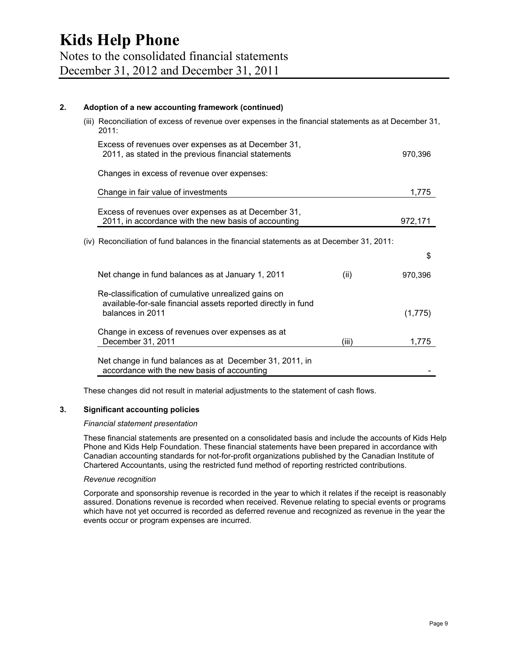| Adoption of a new accounting framework (continued)                                                                                       |      |                          |
|------------------------------------------------------------------------------------------------------------------------------------------|------|--------------------------|
| (iii) Reconciliation of excess of revenue over expenses in the financial statements as at December 31,<br>2011:                          |      |                          |
| Excess of revenues over expenses as at December 31,<br>2011, as stated in the previous financial statements                              |      | 970,396                  |
| Changes in excess of revenue over expenses:                                                                                              |      |                          |
| Change in fair value of investments                                                                                                      |      | 1,775                    |
| Excess of revenues over expenses as at December 31,<br>2011, in accordance with the new basis of accounting                              |      | 972,171                  |
| (iv) Reconciliation of fund balances in the financial statements as at December 31, 2011:                                                |      |                          |
|                                                                                                                                          |      |                          |
|                                                                                                                                          |      |                          |
| Net change in fund balances as at January 1, 2011                                                                                        | (ii) |                          |
| Re-classification of cumulative unrealized gains on<br>available-for-sale financial assets reported directly in fund<br>balances in 2011 |      | \$<br>970,396<br>(1,775) |

These changes did not result in material adjustments to the statement of cash flows.

## **3. Significant accounting policies**

### *Financial statement presentation*

These financial statements are presented on a consolidated basis and include the accounts of Kids Help Phone and Kids Help Foundation. These financial statements have been prepared in accordance with Canadian accounting standards for not-for-profit organizations published by the Canadian Institute of Chartered Accountants, using the restricted fund method of reporting restricted contributions.

### *Revenue recognition*

Corporate and sponsorship revenue is recorded in the year to which it relates if the receipt is reasonably assured. Donations revenue is recorded when received. Revenue relating to special events or programs which have not yet occurred is recorded as deferred revenue and recognized as revenue in the year the events occur or program expenses are incurred.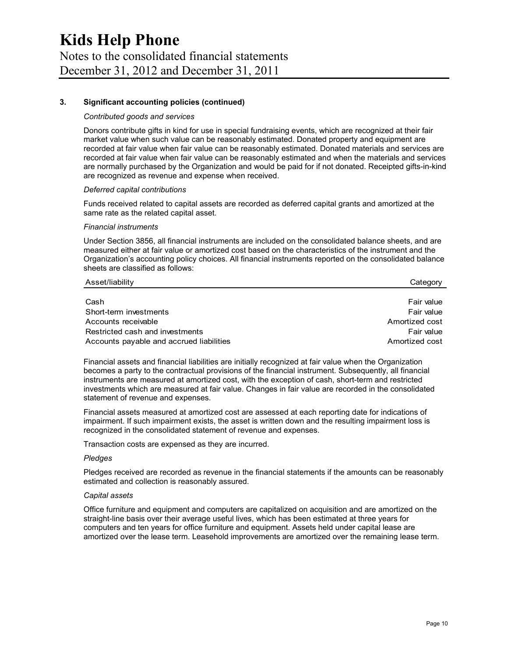## **3. Significant accounting policies (continued)**

### *Contributed goods and services*

Donors contribute gifts in kind for use in special fundraising events, which are recognized at their fair market value when such value can be reasonably estimated. Donated property and equipment are recorded at fair value when fair value can be reasonably estimated. Donated materials and services are recorded at fair value when fair value can be reasonably estimated and when the materials and services are normally purchased by the Organization and would be paid for if not donated. Receipted gifts-in-kind are recognized as revenue and expense when received.

### *Deferred capital contributions*

Funds received related to capital assets are recorded as deferred capital grants and amortized at the same rate as the related capital asset.

### *Financial instruments*

Under Section 3856, all financial instruments are included on the consolidated balance sheets, and are measured either at fair value or amortized cost based on the characteristics of the instrument and the Organization's accounting policy choices. All financial instruments reported on the consolidated balance sheets are classified as follows:

| Asset/liability                          | Category       |
|------------------------------------------|----------------|
|                                          |                |
| Cash                                     | Fair value     |
| Short-term investments                   | Fair value     |
| Accounts receivable                      | Amortized cost |
| Restricted cash and investments          | Fair value     |
| Accounts payable and accrued liabilities | Amortized cost |

Financial assets and financial liabilities are initially recognized at fair value when the Organization becomes a party to the contractual provisions of the financial instrument. Subsequently, all financial instruments are measured at amortized cost, with the exception of cash, short-term and restricted investments which are measured at fair value. Changes in fair value are recorded in the consolidated statement of revenue and expenses.

Financial assets measured at amortized cost are assessed at each reporting date for indications of impairment. If such impairment exists, the asset is written down and the resulting impairment loss is recognized in the consolidated statement of revenue and expenses.

Transaction costs are expensed as they are incurred.

### *Pledges*

Pledges received are recorded as revenue in the financial statements if the amounts can be reasonably estimated and collection is reasonably assured.

### *Capital assets*

Office furniture and equipment and computers are capitalized on acquisition and are amortized on the straight-line basis over their average useful lives, which has been estimated at three years for computers and ten years for office furniture and equipment. Assets held under capital lease are amortized over the lease term. Leasehold improvements are amortized over the remaining lease term.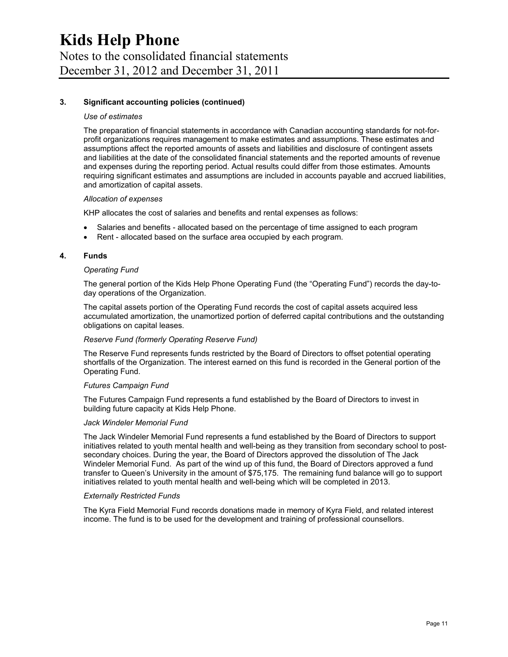## **3. Significant accounting policies (continued)**

### *Use of estimates*

The preparation of financial statements in accordance with Canadian accounting standards for not-forprofit organizations requires management to make estimates and assumptions. These estimates and assumptions affect the reported amounts of assets and liabilities and disclosure of contingent assets and liabilities at the date of the consolidated financial statements and the reported amounts of revenue and expenses during the reporting period. Actual results could differ from those estimates. Amounts requiring significant estimates and assumptions are included in accounts payable and accrued liabilities, and amortization of capital assets.

### *Allocation of expenses*

KHP allocates the cost of salaries and benefits and rental expenses as follows:

- Salaries and benefits allocated based on the percentage of time assigned to each program
- Rent allocated based on the surface area occupied by each program.

### **4. Funds**

### *Operating Fund*

The general portion of the Kids Help Phone Operating Fund (the "Operating Fund") records the day-today operations of the Organization.

The capital assets portion of the Operating Fund records the cost of capital assets acquired less accumulated amortization, the unamortized portion of deferred capital contributions and the outstanding obligations on capital leases.

## *Reserve Fund (formerly Operating Reserve Fund)*

The Reserve Fund represents funds restricted by the Board of Directors to offset potential operating shortfalls of the Organization. The interest earned on this fund is recorded in the General portion of the Operating Fund.

### *Futures Campaign Fund*

The Futures Campaign Fund represents a fund established by the Board of Directors to invest in building future capacity at Kids Help Phone.

### *Jack Windeler Memorial Fund*

The Jack Windeler Memorial Fund represents a fund established by the Board of Directors to support initiatives related to youth mental health and well-being as they transition from secondary school to postsecondary choices. During the year, the Board of Directors approved the dissolution of The Jack Windeler Memorial Fund. As part of the wind up of this fund, the Board of Directors approved a fund transfer to Queen's University in the amount of \$75,175. The remaining fund balance will go to support initiatives related to youth mental health and well-being which will be completed in 2013.

### *Externally Restricted Funds*

The Kyra Field Memorial Fund records donations made in memory of Kyra Field, and related interest income. The fund is to be used for the development and training of professional counsellors.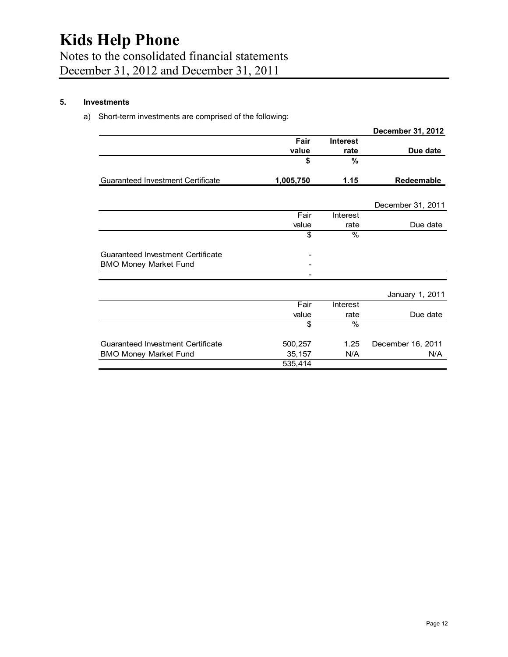## **Kids Help Phone**  Notes to the consolidated financial statements

December 31, 2012 and December 31, 2011

## **5. Investments**

a) Short-term investments are comprised of the following:

|                                          |           |                 | December 31, 2012 |
|------------------------------------------|-----------|-----------------|-------------------|
|                                          | Fair      | <b>Interest</b> |                   |
|                                          | value     | rate            | Due date          |
|                                          | \$        | %               |                   |
| <b>Guaranteed Investment Certificate</b> | 1,005,750 | 1.15            | Redeemable        |
|                                          |           |                 |                   |
|                                          |           |                 | December 31, 2011 |
|                                          | Fair      | Interest        |                   |
|                                          | value     | rate            | Due date          |
|                                          | \$        | $\%$            |                   |
|                                          |           |                 |                   |
| Guaranteed Investment Certificate        |           |                 |                   |
| <b>BMO Money Market Fund</b>             |           |                 |                   |
|                                          |           |                 |                   |
|                                          |           |                 | January 1, 2011   |
|                                          | Fair      | <b>Interest</b> |                   |
|                                          | value     | rate            | Due date          |
|                                          | \$        | $\%$            |                   |
| Guaranteed Investment Certificate        | 500,257   | 1.25            | December 16, 2011 |
| <b>BMO Money Market Fund</b>             | 35,157    | N/A             | N/A               |
|                                          | 535,414   |                 |                   |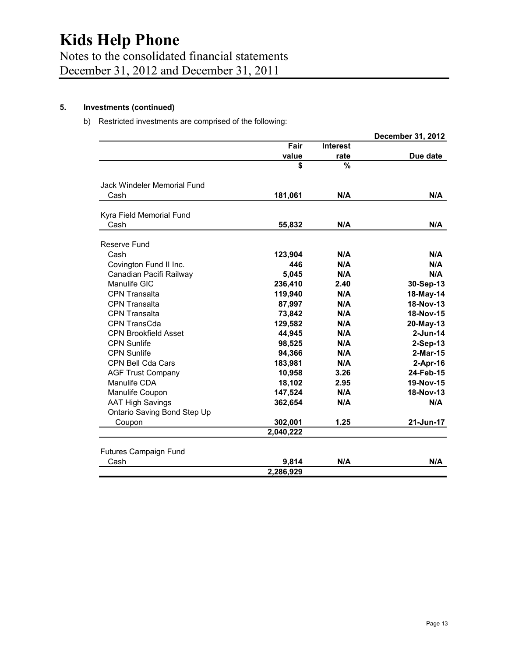## **5. Investments (continued)**

## b) Restricted investments are comprised of the following:

|                             |           |                 | December 31, 2012 |
|-----------------------------|-----------|-----------------|-------------------|
|                             | Fair      | <b>Interest</b> |                   |
|                             | value     | rate            | Due date          |
|                             | \$        | %               |                   |
| Jack Windeler Memorial Fund |           |                 |                   |
| Cash                        | 181,061   | N/A             | N/A               |
| Kyra Field Memorial Fund    |           |                 |                   |
| Cash                        | 55,832    | N/A             | N/A               |
| Reserve Fund                |           |                 |                   |
| Cash                        | 123,904   | N/A             | N/A               |
| Covington Fund II Inc.      | 446       | N/A             | N/A               |
| Canadian Pacifi Railway     | 5,045     | N/A             | N/A               |
| Manulife GIC                | 236,410   | 2.40            | 30-Sep-13         |
| <b>CPN Transalta</b>        | 119,940   | N/A             | 18-May-14         |
| <b>CPN Transalta</b>        | 87,997    | N/A             | 18-Nov-13         |
| <b>CPN Transalta</b>        | 73,842    | N/A             | 18-Nov-15         |
| CPN TransCda                | 129,582   | N/A             | 20-May-13         |
| <b>CPN Brookfield Asset</b> | 44,945    | N/A             | $2$ -Jun-14       |
| <b>CPN Sunlife</b>          | 98,525    | N/A             | 2-Sep-13          |
| <b>CPN Sunlife</b>          | 94,366    | N/A             | $2-Mar-15$        |
| <b>CPN Bell Cda Cars</b>    | 183,981   | N/A             | $2-Apr-16$        |
| <b>AGF Trust Company</b>    | 10,958    | 3.26            | 24-Feb-15         |
| Manulife CDA                | 18,102    | 2.95            | 19-Nov-15         |
| Manulife Coupon             | 147,524   | N/A             | 18-Nov-13         |
| <b>AAT High Savings</b>     | 362,654   | N/A             | N/A               |
| Ontario Saving Bond Step Up |           |                 |                   |
| Coupon                      | 302,001   | 1.25            | 21-Jun-17         |
|                             | 2,040,222 |                 |                   |
| Futures Campaign Fund       |           |                 |                   |
| Cash                        | 9,814     | N/A             | N/A               |
|                             | 2,286,929 |                 |                   |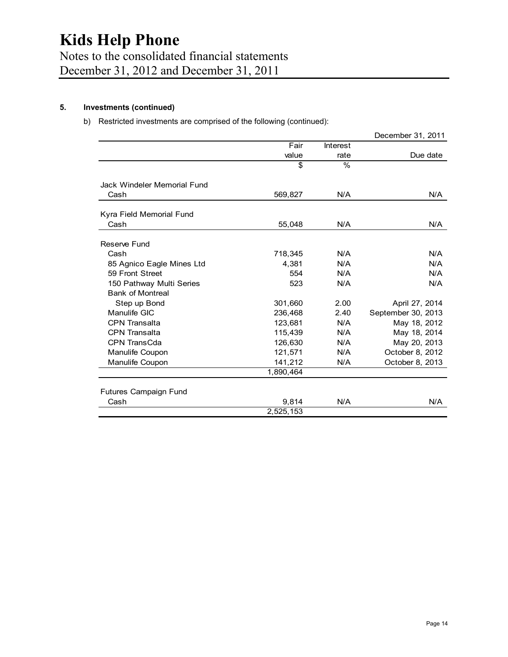## **5. Investments (continued)**

b) Restricted investments are comprised of the following (continued):

|                             |           |          | December 31, 2011  |
|-----------------------------|-----------|----------|--------------------|
|                             | Fair      | Interest |                    |
|                             | value     | rate     | Due date           |
|                             | \$        | $\%$     |                    |
| Jack Windeler Memorial Fund |           |          |                    |
| Cash                        | 569,827   | N/A      | N/A                |
| Kyra Field Memorial Fund    |           |          |                    |
| Cash                        | 55,048    | N/A      | N/A                |
| Reserve Fund                |           |          |                    |
| Cash                        | 718,345   | N/A      | N/A                |
| 85 Agnico Eagle Mines Ltd   | 4,381     | N/A      | N/A                |
| 59 Front Street             | 554       | N/A      | N/A                |
| 150 Pathway Multi Series    | 523       | N/A      | N/A                |
| <b>Bank of Montreal</b>     |           |          |                    |
| Step up Bond                | 301,660   | 2.00     | April 27, 2014     |
| Manulife GIC                | 236,468   | 2.40     | September 30, 2013 |
| <b>CPN Transalta</b>        | 123,681   | N/A      | May 18, 2012       |
| <b>CPN Transalta</b>        | 115,439   | N/A      | May 18, 2014       |
| <b>CPN TransCda</b>         | 126.630   | N/A      | May 20, 2013       |
| Manulife Coupon             | 121,571   | N/A      | October 8, 2012    |
| Manulife Coupon             | 141,212   | N/A      | October 8, 2013    |
|                             | 1,890,464 |          |                    |
| Futures Campaign Fund       |           |          |                    |
| Cash                        | 9,814     | N/A      | N/A                |
|                             | 2,525,153 |          |                    |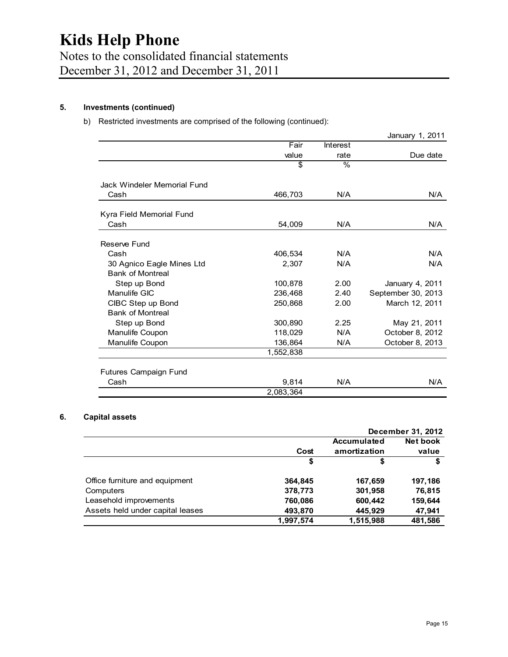## **5. Investments (continued)**

b) Restricted investments are comprised of the following (continued):

|                             |           |          | January 1, 2011    |
|-----------------------------|-----------|----------|--------------------|
|                             | Fair      | Interest |                    |
|                             | value     | rate     | Due date           |
|                             | \$        | $\%$     |                    |
| Jack Windeler Memorial Fund |           |          |                    |
| Cash                        | 466,703   | N/A      | N/A                |
| Kyra Field Memorial Fund    |           |          |                    |
| Cash                        | 54,009    | N/A      | N/A                |
| Reserve Fund                |           |          |                    |
| Cash                        | 406,534   | N/A      | N/A                |
| 30 Agnico Eagle Mines Ltd   | 2,307     | N/A      | N/A                |
| <b>Bank of Montreal</b>     |           |          |                    |
| Step up Bond                | 100,878   | 2.00     | January 4, 2011    |
| Manulife GIC                | 236,468   | 2.40     | September 30, 2013 |
| CIBC Step up Bond           | 250,868   | 2.00     | March 12, 2011     |
| <b>Bank of Montreal</b>     |           |          |                    |
| Step up Bond                | 300,890   | 2.25     | May 21, 2011       |
| Manulife Coupon             | 118,029   | N/A      | October 8, 2012    |
| Manulife Coupon             | 136,864   | N/A      | October 8, 2013    |
|                             | 1,552,838 |          |                    |
| Futures Campaign Fund       |           |          |                    |
| Cash                        | 9,814     | N/A      | N/A                |
|                             | 2,083,364 |          |                    |

## **6. Capital assets**

|                                  |           |                    | December 31, 2012 |
|----------------------------------|-----------|--------------------|-------------------|
|                                  |           | <b>Accumulated</b> | Net book          |
|                                  | Cost      | amortization       | value             |
|                                  | \$        | \$                 |                   |
| Office furniture and equipment   | 364,845   | 167,659            | 197,186           |
| Computers                        | 378,773   | 301,958            | 76,815            |
| Leasehold improvements           | 760,086   | 600,442            | 159,644           |
| Assets held under capital leases | 493,870   | 445,929            | 47,941            |
|                                  | 1,997,574 | 1,515,988          | 481,586           |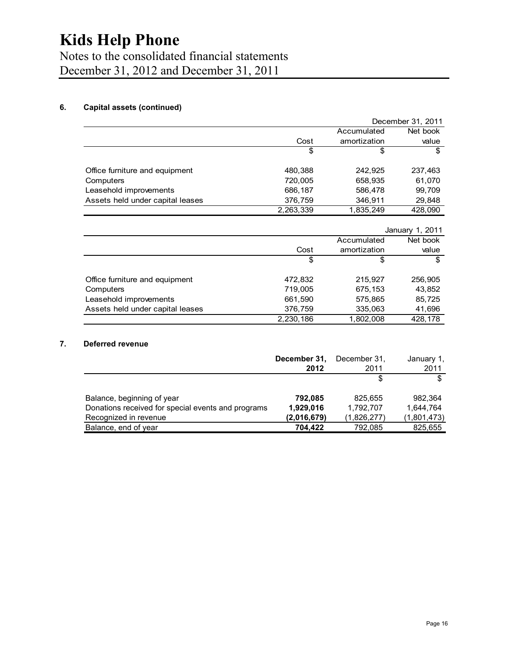## **6. Capital assets (continued)**

|                                  |           |              | December 31, 2011       |
|----------------------------------|-----------|--------------|-------------------------|
|                                  |           | Accumulated  | Net book                |
|                                  | Cost      | amortization | value                   |
|                                  | \$        | \$           | \$                      |
| Office furniture and equipment   | 480,388   | 242,925      | 237,463                 |
| Computers                        | 720,005   | 658,935      | 61,070                  |
| Leasehold improvements           | 686,187   | 586,478      | 99,709                  |
| Assets held under capital leases | 376,759   | 346,911      | 29,848                  |
|                                  | 2,263,339 | 1,835,249    | 428,090                 |
|                                  |           |              | $l$ anuan $\ell$ 1 2011 |

|                                  |           |              | January 1, 2011 |
|----------------------------------|-----------|--------------|-----------------|
|                                  |           | Accumulated  | Net book        |
|                                  | Cost      | amortization | value           |
|                                  | \$        | S            |                 |
| Office furniture and equipment   | 472,832   | 215,927      | 256,905         |
| Computers                        | 719.005   | 675,153      | 43,852          |
| Leasehold improvements           | 661,590   | 575,865      | 85,725          |
| Assets held under capital leases | 376.759   | 335,063      | 41,696          |
|                                  | 2.230.186 | 1.802.008    | 428.178         |

## **7. Deferred revenue**

|                                                    | December 31,<br>2012 | December 31.<br>2011 | January 1,<br>2011 |
|----------------------------------------------------|----------------------|----------------------|--------------------|
|                                                    |                      |                      |                    |
| Balance, beginning of year                         | 792,085              | 825.655              | 982.364            |
| Donations received for special events and programs | 1,929,016            | 1,792,707            | 1,644,764          |
| Recognized in revenue                              | (2,016,679)          | (1,826,277)          | (1,801,473)        |
| Balance, end of year                               | 704.422              | 792.085              | 825,655            |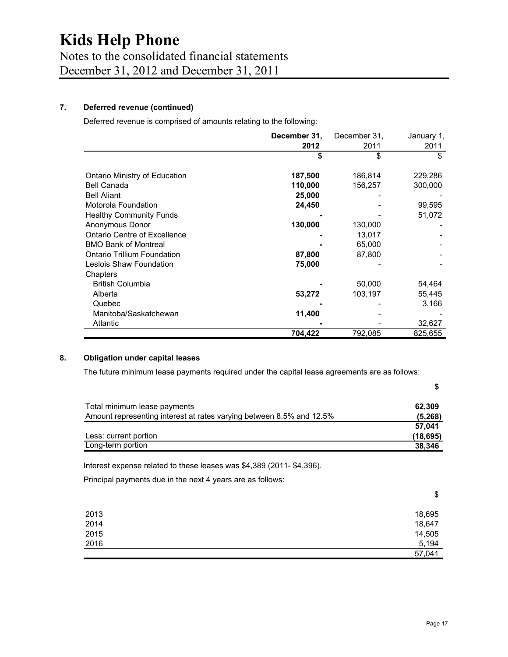## **7. Deferred revenue (continued)**

Deferred revenue is comprised of amounts relating to the following:

|                                     | December 31, | December 31, | January 1, |
|-------------------------------------|--------------|--------------|------------|
|                                     | 2012         | 2011         | 2011       |
|                                     | \$           | \$           | \$         |
|                                     |              |              |            |
| Ontario Ministry of Education       | 187,500      | 186,814      | 229,286    |
| <b>Bell Canada</b>                  | 110,000      | 156,257      | 300,000    |
| <b>Bell Aliant</b>                  | 25,000       |              |            |
| Motorola Foundation                 | 24,450       |              | 99,595     |
| <b>Healthy Community Funds</b>      |              |              | 51,072     |
| Anonymous Donor                     | 130,000      | 130,000      |            |
| <b>Ontario Centre of Excellence</b> |              | 13,017       |            |
| <b>BMO Bank of Montreal</b>         |              | 65,000       |            |
| <b>Ontario Trillium Foundation</b>  | 87,800       | 87,800       |            |
| Leslois Shaw Foundation             | 75,000       |              |            |
| Chapters                            |              |              |            |
| <b>British Columbia</b>             |              | 50,000       | 54,464     |
| Alberta                             | 53,272       | 103,197      | 55,445     |
| Quebec                              |              |              | 3,166      |
| Manitoba/Saskatchewan               | 11,400       |              |            |
| Atlantic                            |              |              | 32,627     |
|                                     | 704,422      | 792,085      | 825,655    |

## **8. Obligation under capital leases**

The future minimum lease payments required under the capital lease agreements are as follows:

| Total minimum lease payments                                         | 62,309   |
|----------------------------------------------------------------------|----------|
| Amount representing interest at rates varying between 8.5% and 12.5% | (5,268)  |
|                                                                      | 57.041   |
| Less: current portion                                                | (18,695) |
| Long-term portion                                                    | 38.346   |

Interest expense related to these leases was \$4,389 (2011- \$4,396).

Principal payments due in the next 4 years are as follows:

|      | \$     |
|------|--------|
| 2013 | 18,695 |
| 2014 | 18,647 |
| 2015 | 14,505 |
| 2016 | 5,194  |
|      | 57,041 |
|      |        |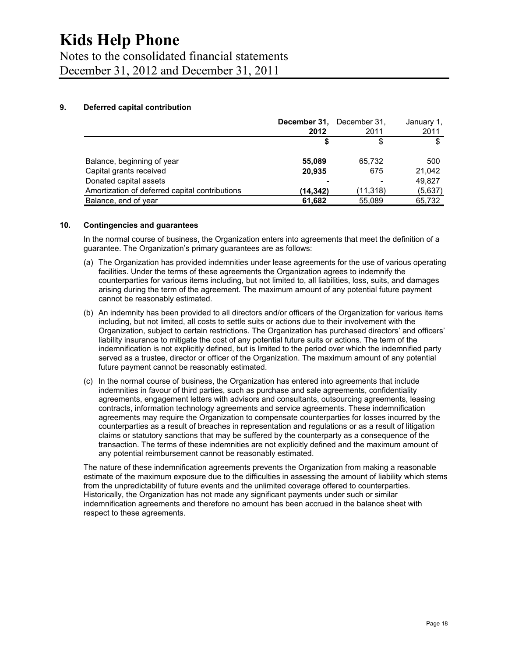## Notes to the consolidated financial statements December 31, 2012 and December 31, 2011

## **9. Deferred capital contribution**

|                                                | December 31, | December 31, | January 1, |
|------------------------------------------------|--------------|--------------|------------|
|                                                | 2012         | 2011         | 2011       |
|                                                |              |              | \$         |
| Balance, beginning of year                     | 55,089       | 65.732       | 500        |
| Capital grants received                        | 20,935       | 675          | 21.042     |
| Donated capital assets                         |              |              | 49.827     |
| Amortization of deferred capital contributions | (14,342)     | (11,318)     | (5,637)    |
| Balance, end of year                           | 61,682       | 55,089       | 65,732     |

### **10. Contingencies and guarantees**

In the normal course of business, the Organization enters into agreements that meet the definition of a guarantee. The Organization's primary guarantees are as follows:

- (a) The Organization has provided indemnities under lease agreements for the use of various operating facilities. Under the terms of these agreements the Organization agrees to indemnify the counterparties for various items including, but not limited to, all liabilities, loss, suits, and damages arising during the term of the agreement. The maximum amount of any potential future payment cannot be reasonably estimated.
- (b) An indemnity has been provided to all directors and/or officers of the Organization for various items including, but not limited, all costs to settle suits or actions due to their involvement with the Organization, subject to certain restrictions. The Organization has purchased directors' and officers' liability insurance to mitigate the cost of any potential future suits or actions. The term of the indemnification is not explicitly defined, but is limited to the period over which the indemnified party served as a trustee, director or officer of the Organization. The maximum amount of any potential future payment cannot be reasonably estimated.
- (c) In the normal course of business, the Organization has entered into agreements that include indemnities in favour of third parties, such as purchase and sale agreements, confidentiality agreements, engagement letters with advisors and consultants, outsourcing agreements, leasing contracts, information technology agreements and service agreements. These indemnification agreements may require the Organization to compensate counterparties for losses incurred by the counterparties as a result of breaches in representation and regulations or as a result of litigation claims or statutory sanctions that may be suffered by the counterparty as a consequence of the transaction. The terms of these indemnities are not explicitly defined and the maximum amount of any potential reimbursement cannot be reasonably estimated.

The nature of these indemnification agreements prevents the Organization from making a reasonable estimate of the maximum exposure due to the difficulties in assessing the amount of liability which stems from the unpredictability of future events and the unlimited coverage offered to counterparties. Historically, the Organization has not made any significant payments under such or similar indemnification agreements and therefore no amount has been accrued in the balance sheet with respect to these agreements.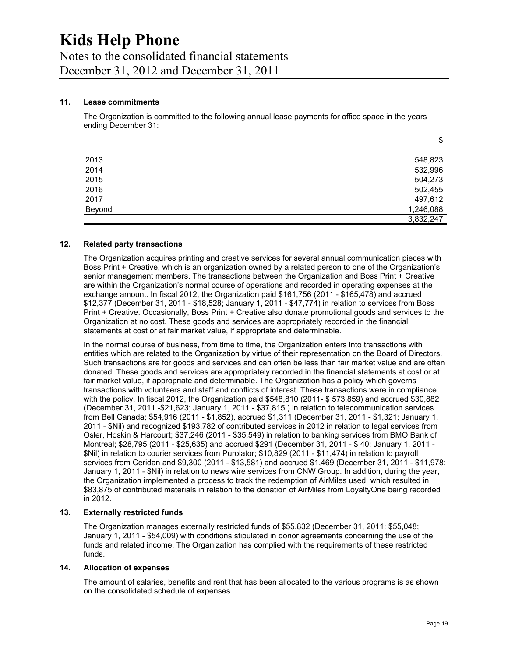## Notes to the consolidated financial statements December 31, 2012 and December 31, 2011

## **11. Lease commitments**

The Organization is committed to the following annual lease payments for office space in the years ending December 31:

|        | Ψ         |
|--------|-----------|
| 2013   | 548,823   |
| 2014   | 532,996   |
| 2015   | 504,273   |
| 2016   | 502,455   |
| 2017   | 497,612   |
| Beyond | 1,246,088 |
|        | 3,832,247 |

## **12. Related party transactions**

The Organization acquires printing and creative services for several annual communication pieces with Boss Print + Creative, which is an organization owned by a related person to one of the Organization's senior management members. The transactions between the Organization and Boss Print + Creative are within the Organization's normal course of operations and recorded in operating expenses at the exchange amount. In fiscal 2012, the Organization paid \$161,756 (2011 - \$165,478) and accrued \$12,377 (December 31, 2011 - \$18,528; January 1, 2011 - \$47,774) in relation to services from Boss Print + Creative. Occasionally, Boss Print + Creative also donate promotional goods and services to the Organization at no cost. These goods and services are appropriately recorded in the financial statements at cost or at fair market value, if appropriate and determinable.

In the normal course of business, from time to time, the Organization enters into transactions with entities which are related to the Organization by virtue of their representation on the Board of Directors. Such transactions are for goods and services and can often be less than fair market value and are often donated. These goods and services are appropriately recorded in the financial statements at cost or at fair market value, if appropriate and determinable. The Organization has a policy which governs transactions with volunteers and staff and conflicts of interest. These transactions were in compliance with the policy. In fiscal 2012, the Organization paid \$548,810 (2011- \$ 573,859) and accrued \$30,882 (December 31, 2011 -\$21,623; January 1, 2011 - \$37,815 ) in relation to telecommunication services from Bell Canada; \$54,916 (2011 - \$1,852), accrued \$1,311 (December 31, 2011 - \$1,321; January 1, 2011 - \$Nil) and recognized \$193,782 of contributed services in 2012 in relation to legal services from Osler, Hoskin & Harcourt; \$37,246 (2011 - \$35,549) in relation to banking services from BMO Bank of Montreal; \$28,795 (2011 - \$25,635) and accrued \$291 (December 31, 2011 - \$ 40; January 1, 2011 - \$Nil) in relation to courier services from Purolator; \$10,829 (2011 - \$11,474) in relation to payroll services from Ceridan and \$9,300 (2011 - \$13,581) and accrued \$1,469 (December 31, 2011 - \$11,978; January 1, 2011 - \$Nil) in relation to news wire services from CNW Group. In addition, during the year, the Organization implemented a process to track the redemption of AirMiles used, which resulted in \$83,875 of contributed materials in relation to the donation of AirMiles from LoyaltyOne being recorded in 2012.

## **13. Externally restricted funds**

The Organization manages externally restricted funds of \$55,832 (December 31, 2011: \$55,048; January 1, 2011 - \$54,009) with conditions stipulated in donor agreements concerning the use of the funds and related income. The Organization has complied with the requirements of these restricted funds.

## **14. Allocation of expenses**

The amount of salaries, benefits and rent that has been allocated to the various programs is as shown on the consolidated schedule of expenses.

\$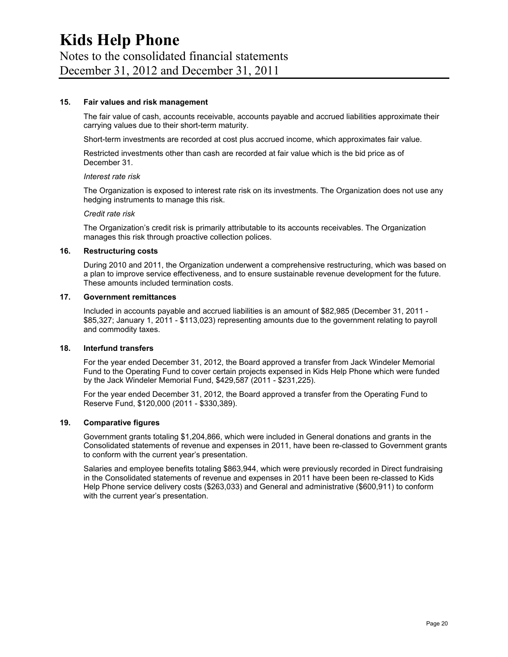## **15. Fair values and risk management**

The fair value of cash, accounts receivable, accounts payable and accrued liabilities approximate their carrying values due to their short-term maturity.

Short-term investments are recorded at cost plus accrued income, which approximates fair value.

Restricted investments other than cash are recorded at fair value which is the bid price as of December 31.

#### *Interest rate risk*

The Organization is exposed to interest rate risk on its investments. The Organization does not use any hedging instruments to manage this risk.

### *Credit rate risk*

The Organization's credit risk is primarily attributable to its accounts receivables. The Organization manages this risk through proactive collection polices.

## **16. Restructuring costs**

During 2010 and 2011, the Organization underwent a comprehensive restructuring, which was based on a plan to improve service effectiveness, and to ensure sustainable revenue development for the future. These amounts included termination costs.

### **17. Government remittances**

Included in accounts payable and accrued liabilities is an amount of \$82,985 (December 31, 2011 - \$85,327; January 1, 2011 - \$113,023) representing amounts due to the government relating to payroll and commodity taxes.

### **18. Interfund transfers**

For the year ended December 31, 2012, the Board approved a transfer from Jack Windeler Memorial Fund to the Operating Fund to cover certain projects expensed in Kids Help Phone which were funded by the Jack Windeler Memorial Fund, \$429,587 (2011 - \$231,225).

For the year ended December 31, 2012, the Board approved a transfer from the Operating Fund to Reserve Fund, \$120,000 (2011 - \$330,389).

### **19. Comparative figures**

Government grants totaling \$1,204,866, which were included in General donations and grants in the Consolidated statements of revenue and expenses in 2011, have been re-classed to Government grants to conform with the current year's presentation.

Salaries and employee benefits totaling \$863,944, which were previously recorded in Direct fundraising in the Consolidated statements of revenue and expenses in 2011 have been been re-classed to Kids Help Phone service delivery costs (\$263,033) and General and administrative (\$600,911) to conform with the current year's presentation.